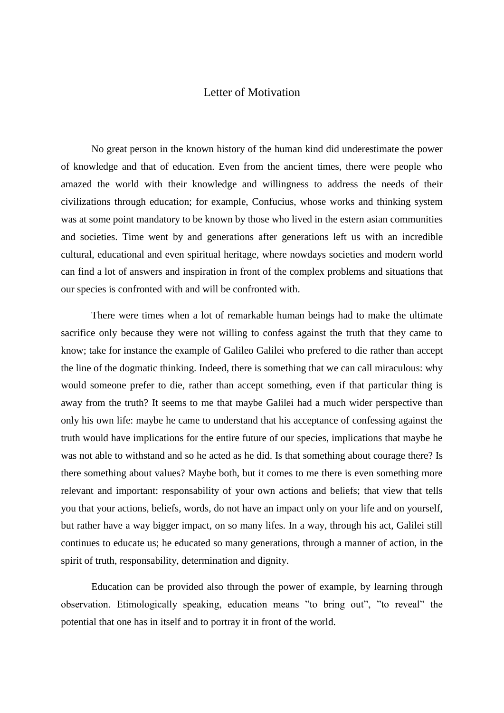## Letter of Motivation

No great person in the known history of the human kind did underestimate the power of knowledge and that of education. Even from the ancient times, there were people who amazed the world with their knowledge and willingness to address the needs of their civilizations through education; for example, Confucius, whose works and thinking system was at some point mandatory to be known by those who lived in the estern asian communities and societies. Time went by and generations after generations left us with an incredible cultural, educational and even spiritual heritage, where nowdays societies and modern world can find a lot of answers and inspiration in front of the complex problems and situations that our species is confronted with and will be confronted with.

There were times when a lot of remarkable human beings had to make the ultimate sacrifice only because they were not willing to confess against the truth that they came to know; take for instance the example of Galileo Galilei who prefered to die rather than accept the line of the dogmatic thinking. Indeed, there is something that we can call miraculous: why would someone prefer to die, rather than accept something, even if that particular thing is away from the truth? It seems to me that maybe Galilei had a much wider perspective than only his own life: maybe he came to understand that his acceptance of confessing against the truth would have implications for the entire future of our species, implications that maybe he was not able to withstand and so he acted as he did. Is that something about courage there? Is there something about values? Maybe both, but it comes to me there is even something more relevant and important: responsability of your own actions and beliefs; that view that tells you that your actions, beliefs, words, do not have an impact only on your life and on yourself, but rather have a way bigger impact, on so many lifes. In a way, through his act, Galilei still continues to educate us; he educated so many generations, through a manner of action, in the spirit of truth, responsability, determination and dignity.

Education can be provided also through the power of example, by learning through observation. Etimologically speaking, education means "to bring out", "to reveal" the potential that one has in itself and to portray it in front of the world.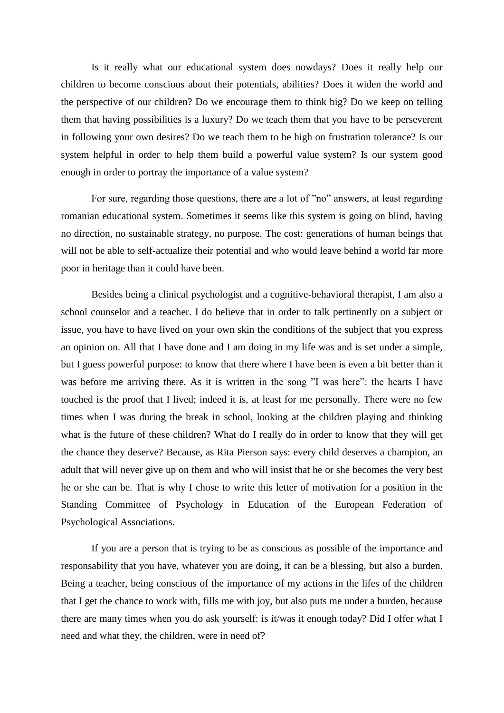Is it really what our educational system does nowdays? Does it really help our children to become conscious about their potentials, abilities? Does it widen the world and the perspective of our children? Do we encourage them to think big? Do we keep on telling them that having possibilities is a luxury? Do we teach them that you have to be perseverent in following your own desires? Do we teach them to be high on frustration tolerance? Is our system helpful in order to help them build a powerful value system? Is our system good enough in order to portray the importance of a value system?

For sure, regarding those questions, there are a lot of "no" answers, at least regarding romanian educational system. Sometimes it seems like this system is going on blind, having no direction, no sustainable strategy, no purpose. The cost: generations of human beings that will not be able to self-actualize their potential and who would leave behind a world far more poor in heritage than it could have been.

Besides being a clinical psychologist and a cognitive-behavioral therapist, I am also a school counselor and a teacher. I do believe that in order to talk pertinently on a subject or issue, you have to have lived on your own skin the conditions of the subject that you express an opinion on. All that I have done and I am doing in my life was and is set under a simple, but I guess powerful purpose: to know that there where I have been is even a bit better than it was before me arriving there. As it is written in the song "I was here": the hearts I have touched is the proof that I lived; indeed it is, at least for me personally. There were no few times when I was during the break in school, looking at the children playing and thinking what is the future of these children? What do I really do in order to know that they will get the chance they deserve? Because, as Rita Pierson says: every child deserves a champion, an adult that will never give up on them and who will insist that he or she becomes the very best he or she can be. That is why I chose to write this letter of motivation for a position in the Standing Committee of Psychology in Education of the European Federation of Psychological Associations.

If you are a person that is trying to be as conscious as possible of the importance and responsability that you have, whatever you are doing, it can be a blessing, but also a burden. Being a teacher, being conscious of the importance of my actions in the lifes of the children that I get the chance to work with, fills me with joy, but also puts me under a burden, because there are many times when you do ask yourself: is it/was it enough today? Did I offer what I need and what they, the children, were in need of?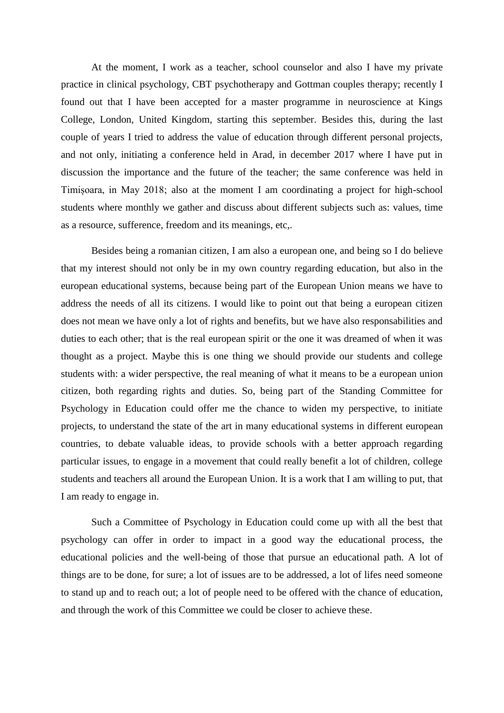At the moment, I work as a teacher, school counselor and also I have my private practice in clinical psychology, CBT psychotherapy and Gottman couples therapy; recently I found out that I have been accepted for a master programme in neuroscience at Kings College, London, United Kingdom, starting this september. Besides this, during the last couple of years I tried to address the value of education through different personal projects, and not only, initiating a conference held in Arad, in december 2017 where I have put in discussion the importance and the future of the teacher; the same conference was held in Timișoara, in May 2018; also at the moment I am coordinating a project for high-school students where monthly we gather and discuss about different subjects such as: values, time as a resource, sufference, freedom and its meanings, etc,.

Besides being a romanian citizen, I am also a european one, and being so I do believe that my interest should not only be in my own country regarding education, but also in the european educational systems, because being part of the European Union means we have to address the needs of all its citizens. I would like to point out that being a european citizen does not mean we have only a lot of rights and benefits, but we have also responsabilities and duties to each other; that is the real european spirit or the one it was dreamed of when it was thought as a project. Maybe this is one thing we should provide our students and college students with: a wider perspective, the real meaning of what it means to be a european union citizen, both regarding rights and duties. So, being part of the Standing Committee for Psychology in Education could offer me the chance to widen my perspective, to initiate projects, to understand the state of the art in many educational systems in different european countries, to debate valuable ideas, to provide schools with a better approach regarding particular issues, to engage in a movement that could really benefit a lot of children, college students and teachers all around the European Union. It is a work that I am willing to put, that I am ready to engage in.

Such a Committee of Psychology in Education could come up with all the best that psychology can offer in order to impact in a good way the educational process, the educational policies and the well-being of those that pursue an educational path. A lot of things are to be done, for sure; a lot of issues are to be addressed, a lot of lifes need someone to stand up and to reach out; a lot of people need to be offered with the chance of education, and through the work of this Committee we could be closer to achieve these.